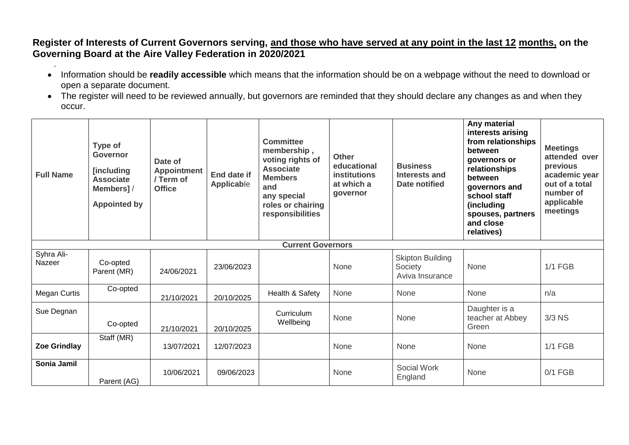**Register of Interests of Current Governors serving, and those who have served at any point in the last 12 months, on the Governing Board at the Aire Valley Federation in 2020/2021**

- . Information should be **readily accessible** which means that the information should be on a webpage without the need to download or open a separate document.
- The register will need to be reviewed annually, but governors are reminded that they should declare any changes as and when they occur.

| <b>Full Name</b>     | Type of<br>Governor<br>[including<br><b>Associate</b><br>Members]/<br><b>Appointed by</b> | Date of<br><b>Appointment</b><br>/ Term of<br><b>Office</b> | <b>End date if</b><br>Applicable | <b>Committee</b><br>membership,<br>voting rights of<br><b>Associate</b><br><b>Members</b><br>and<br>any special<br>roles or chairing<br>responsibilities | <b>Other</b><br>educational<br><b>institutions</b><br>at which a<br>governor | <b>Business</b><br>Interests and<br>Date notified     | Any material<br>interests arising<br>from relationships<br>between<br>governors or<br>relationships<br>between<br>governors and<br>school staff<br>(including<br>spouses, partners<br>and close<br>relatives) | <b>Meetings</b><br>attended over<br>previous<br>academic year<br>out of a total<br>number of<br>applicable<br>meetings |
|----------------------|-------------------------------------------------------------------------------------------|-------------------------------------------------------------|----------------------------------|----------------------------------------------------------------------------------------------------------------------------------------------------------|------------------------------------------------------------------------------|-------------------------------------------------------|---------------------------------------------------------------------------------------------------------------------------------------------------------------------------------------------------------------|------------------------------------------------------------------------------------------------------------------------|
|                      |                                                                                           |                                                             |                                  | <b>Current Governors</b>                                                                                                                                 |                                                                              |                                                       |                                                                                                                                                                                                               |                                                                                                                        |
| Syhra Ali-<br>Nazeer | Co-opted<br>Parent (MR)                                                                   | 24/06/2021                                                  | 23/06/2023                       |                                                                                                                                                          | None                                                                         | <b>Skipton Building</b><br>Society<br>Aviva Insurance | None                                                                                                                                                                                                          | <b>1/1 FGB</b>                                                                                                         |
| Megan Curtis         | Co-opted                                                                                  | 21/10/2021                                                  | 20/10/2025                       | Health & Safety                                                                                                                                          | None                                                                         | None                                                  | None                                                                                                                                                                                                          | n/a                                                                                                                    |
| Sue Degnan           | Co-opted                                                                                  | 21/10/2021                                                  | 20/10/2025                       | Curriculum<br>Wellbeing                                                                                                                                  | None                                                                         | None                                                  | Daughter is a<br>teacher at Abbey<br>Green                                                                                                                                                                    | $3/3$ NS                                                                                                               |
| <b>Zoe Grindlay</b>  | Staff (MR)                                                                                | 13/07/2021                                                  | 12/07/2023                       |                                                                                                                                                          | None                                                                         | None                                                  | None                                                                                                                                                                                                          | <b>1/1 FGB</b>                                                                                                         |
| Sonia Jamil          | Parent (AG)                                                                               | 10/06/2021                                                  | 09/06/2023                       |                                                                                                                                                          | None                                                                         | Social Work<br>England                                | None                                                                                                                                                                                                          | $0/1$ FGB                                                                                                              |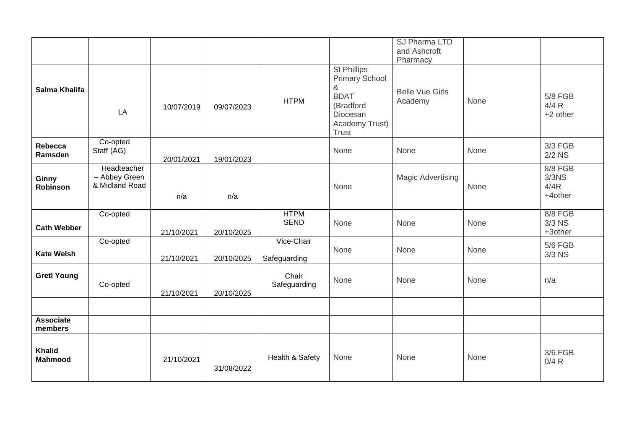|                                 |                                                |            |            |                            |                                                                                                                     | SJ Pharma LTD<br>and Ashcroft<br>Pharmacy |      |                                                |
|---------------------------------|------------------------------------------------|------------|------------|----------------------------|---------------------------------------------------------------------------------------------------------------------|-------------------------------------------|------|------------------------------------------------|
| Salma Khalifa                   | LA                                             | 10/07/2019 | 09/07/2023 | <b>HTPM</b>                | St Phillips<br><b>Primary School</b><br>&<br><b>BDAT</b><br>(Bradford<br>Diocesan<br>Academy Trust)<br><b>Trust</b> | <b>Belle Vue Girls</b><br>Academy         | None | <b>5/8 FGB</b><br>4/4 R<br>+2 other            |
| Rebecca<br>Ramsden              | Co-opted<br>Staff (AG)                         | 20/01/2021 | 19/01/2023 |                            | None                                                                                                                | None                                      | None | 3/3 FGB<br>$2/2$ NS                            |
| Ginny<br>Robinson               | Headteacher<br>- Abbey Green<br>& Midland Road | n/a        | n/a        |                            | None                                                                                                                | <b>Magic Advertising</b>                  | None | 8/8 FGB<br>3/3 <sub>N</sub><br>4/4R<br>+4other |
| <b>Cath Webber</b>              | Co-opted                                       | 21/10/2021 | 20/10/2025 | <b>HTPM</b><br><b>SEND</b> | None                                                                                                                | None                                      | None | 8/8 FGB<br>$3/3$ NS<br>+3other                 |
| <b>Kate Welsh</b>               | Co-opted                                       | 21/10/2021 | 20/10/2025 | Vice-Chair<br>Safeguarding | None                                                                                                                | None                                      | None | <b>5/6 FGB</b><br>$3/3$ NS                     |
| <b>Gretl Young</b>              | Co-opted                                       | 21/10/2021 | 20/10/2025 | Chair<br>Safeguarding      | None                                                                                                                | None                                      | None | n/a                                            |
|                                 |                                                |            |            |                            |                                                                                                                     |                                           |      |                                                |
| <b>Associate</b><br>members     |                                                |            |            |                            |                                                                                                                     |                                           |      |                                                |
| <b>Khalid</b><br><b>Mahmood</b> |                                                | 21/10/2021 | 31/08/2022 | Health & Safety            | None                                                                                                                | None                                      | None | 3/6 FGB<br>0/4 R                               |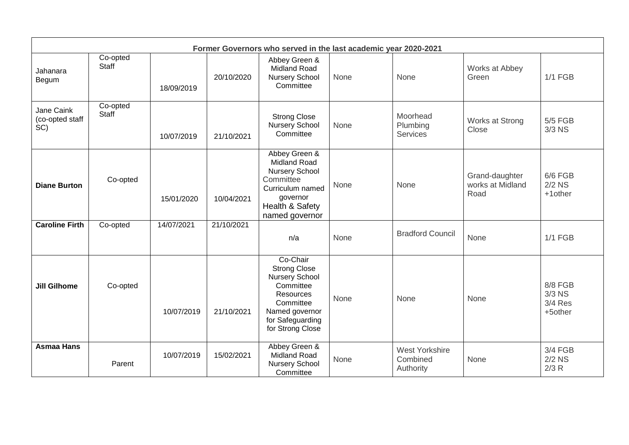| Former Governors who served in the last academic year 2020-2021 |                   |            |            |                                                                                                                                                           |      |                                                |                                            |                                           |  |
|-----------------------------------------------------------------|-------------------|------------|------------|-----------------------------------------------------------------------------------------------------------------------------------------------------------|------|------------------------------------------------|--------------------------------------------|-------------------------------------------|--|
| Jahanara<br>Begum                                               | Co-opted<br>Staff | 18/09/2019 | 20/10/2020 | Abbey Green &<br><b>Midland Road</b><br><b>Nursery School</b><br>Committee                                                                                | None | None                                           | Works at Abbey<br>Green                    | <b>1/1 FGB</b>                            |  |
| Jane Caink<br>(co-opted staff<br>SC)                            | Co-opted<br>Staff | 10/07/2019 | 21/10/2021 | <b>Strong Close</b><br><b>Nursery School</b><br>Committee                                                                                                 | None | Moorhead<br>Plumbing<br><b>Services</b>        | Works at Strong<br>Close                   | 5/5 FGB<br>$3/3$ NS                       |  |
| <b>Diane Burton</b>                                             | Co-opted          | 15/01/2020 | 10/04/2021 | Abbey Green &<br><b>Midland Road</b><br><b>Nursery School</b><br>Committee<br>Curriculum named<br>governor<br>Health & Safety<br>named governor           | None | None                                           | Grand-daughter<br>works at Midland<br>Road | 6/6 FGB<br>$2/2$ NS<br>$+1$ other         |  |
| <b>Caroline Firth</b>                                           | Co-opted          | 14/07/2021 | 21/10/2021 | n/a                                                                                                                                                       | None | <b>Bradford Council</b>                        | None                                       | <b>1/1 FGB</b>                            |  |
| <b>Jill Gilhome</b>                                             | Co-opted          | 10/07/2019 | 21/10/2021 | Co-Chair<br><b>Strong Close</b><br><b>Nursery School</b><br>Committee<br>Resources<br>Committee<br>Named governor<br>for Safeguarding<br>for Strong Close | None | None                                           | None                                       | 8/8 FGB<br>$3/3$ NS<br>3/4 Res<br>+5other |  |
| <b>Asmaa Hans</b>                                               | Parent            | 10/07/2019 | 15/02/2021 | Abbey Green &<br><b>Midland Road</b><br><b>Nursery School</b><br>Committee                                                                                | None | <b>West Yorkshire</b><br>Combined<br>Authority | None                                       | 3/4 FGB<br>$2/2$ NS<br>2/3 R              |  |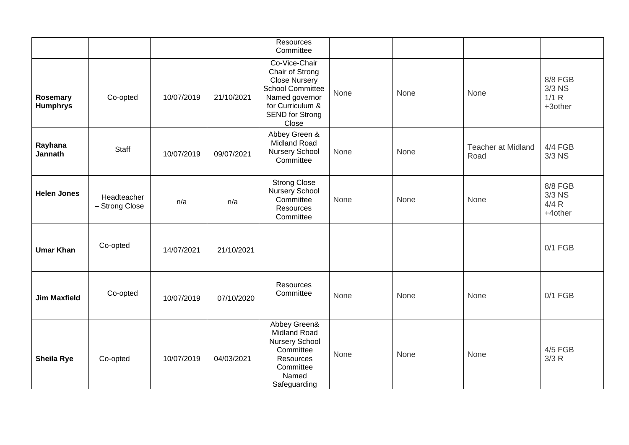|                             |                               |            |            | Resources<br>Committee                                                                                                                                       |      |      |                                   |                                         |
|-----------------------------|-------------------------------|------------|------------|--------------------------------------------------------------------------------------------------------------------------------------------------------------|------|------|-----------------------------------|-----------------------------------------|
| Rosemary<br><b>Humphrys</b> | Co-opted                      | 10/07/2019 | 21/10/2021 | Co-Vice-Chair<br>Chair of Strong<br><b>Close Nursery</b><br><b>School Committee</b><br>Named governor<br>for Curriculum &<br><b>SEND for Strong</b><br>Close | None | None | None                              | 8/8 FGB<br>$3/3$ NS<br>1/1 R<br>+3other |
| Rayhana<br>Jannath          | Staff                         | 10/07/2019 | 09/07/2021 | Abbey Green &<br>Midland Road<br><b>Nursery School</b><br>Committee                                                                                          | None | None | <b>Teacher at Midland</b><br>Road | 4/4 FGB<br>3/3 NS                       |
| <b>Helen Jones</b>          | Headteacher<br>- Strong Close | n/a        | n/a        | <b>Strong Close</b><br><b>Nursery School</b><br>Committee<br>Resources<br>Committee                                                                          | None | None | None                              | 8/8 FGB<br>3/3 NS<br>4/4 R<br>+4other   |
| <b>Umar Khan</b>            | Co-opted                      | 14/07/2021 | 21/10/2021 |                                                                                                                                                              |      |      |                                   | $0/1$ FGB                               |
| <b>Jim Maxfield</b>         | Co-opted                      | 10/07/2019 | 07/10/2020 | Resources<br>Committee                                                                                                                                       | None | None | None                              | $0/1$ FGB                               |
| <b>Sheila Rye</b>           | Co-opted                      | 10/07/2019 | 04/03/2021 | Abbey Green&<br><b>Midland Road</b><br><b>Nursery School</b><br>Committee<br><b>Resources</b><br>Committee<br>Named<br>Safeguarding                          | None | None | None                              | 4/5 FGB<br>3/3R                         |